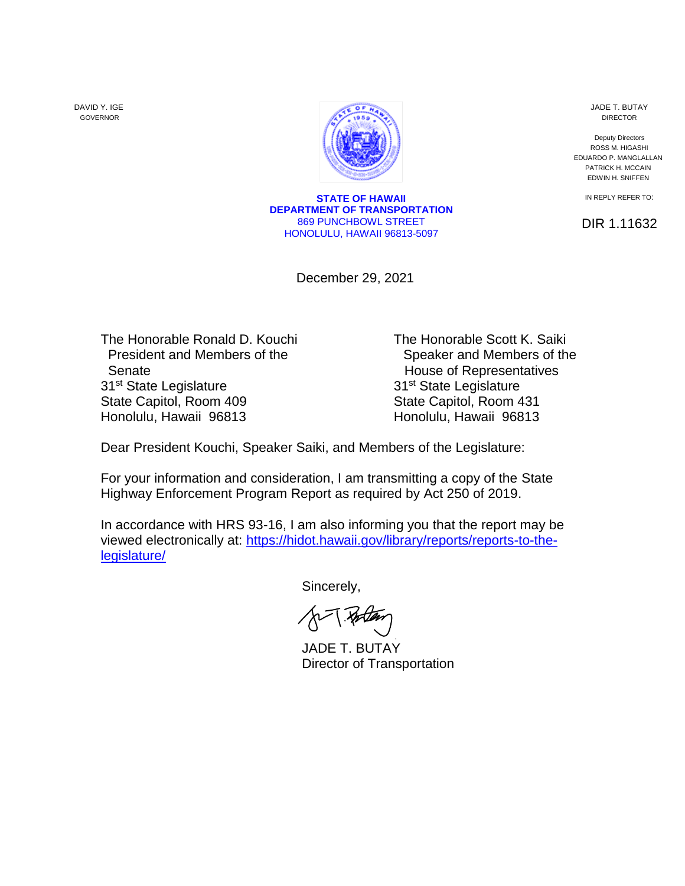DAVID Y. IGE GOVERNOR



**STATE OF HAWAII DEPARTMENT OF TRANSPORTATION** 869 PUNCHBOWL STREET HONOLULU, HAWAII 96813-5097

December 29, 2021

Senate **Senate House of Representatives** 31<sup>st</sup> State Legislature State Capitol, Room 409 State Capitol, Room 431 Honolulu, Hawaii 96813 Honolulu, Hawaii 96813

The Honorable Ronald D. Kouchi The Honorable Scott K. Saiki President and Members of the Speaker and Members of the 31<sup>st</sup> State Legislature

Dear President Kouchi, Speaker Saiki, and Members of the Legislature:

For your information and consideration, I am transmitting a copy of the State Highway Enforcement Program Report as required by Act 250 of 2019.

In accordance with HRS 93-16, I am also informing you that the report may be viewed electronically at: [https://hidot.hawaii.gov/library/reports/reports-to-the](https://hidot.hawaii.gov/library/reports/reports-to-the-legislature/)[legislature/](https://hidot.hawaii.gov/library/reports/reports-to-the-legislature/)

Sincerely,

JADE T. BUTAY Director of Transportation

JADE T. BUTAY DIRECTOR

Deputy Directors ROSS M. HIGASHI EDUARDO P. MANGLALLAN PATRICK H. MCCAIN EDWIN H. SNIFFEN

IN REPLY REFER TO:

DIR 1.11632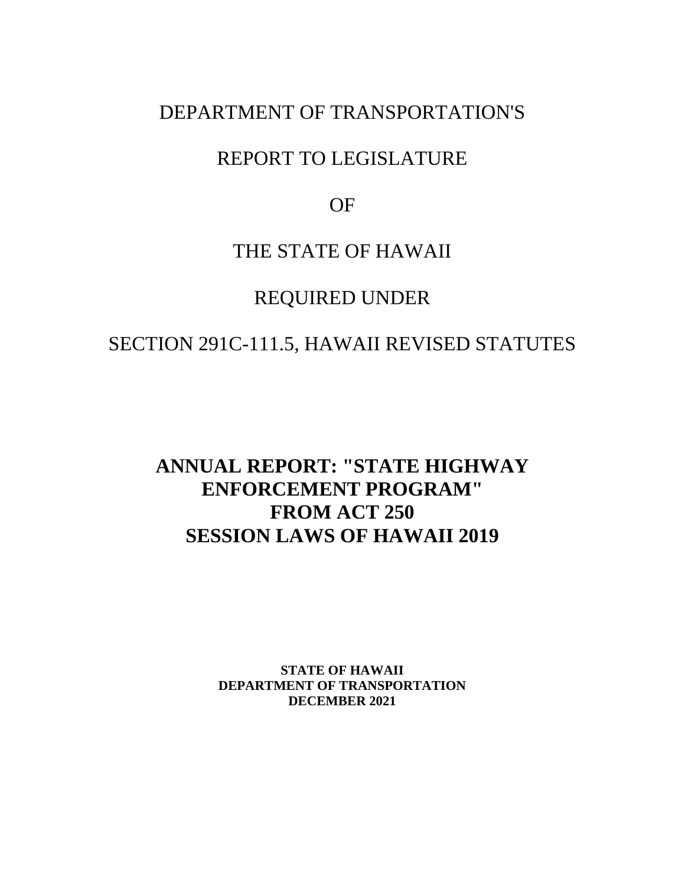# DEPARTMENT OF TRANSPORTATION'S

# REPORT TO LEGISLATURE

OF

# THE STATE OF HAWAII

# REQUIRED UNDER

# SECTION 291C-111.5, HAWAII REVISED STATUTES

# **ANNUAL REPORT: "STATE HIGHWAY ENFORCEMENT PROGRAM" FROM ACT 250 SESSION LAWS OF HAWAII 2019**

**STATE OF HAWAII DEPARTMENT OF TRANSPORTATION DECEMBER 2021**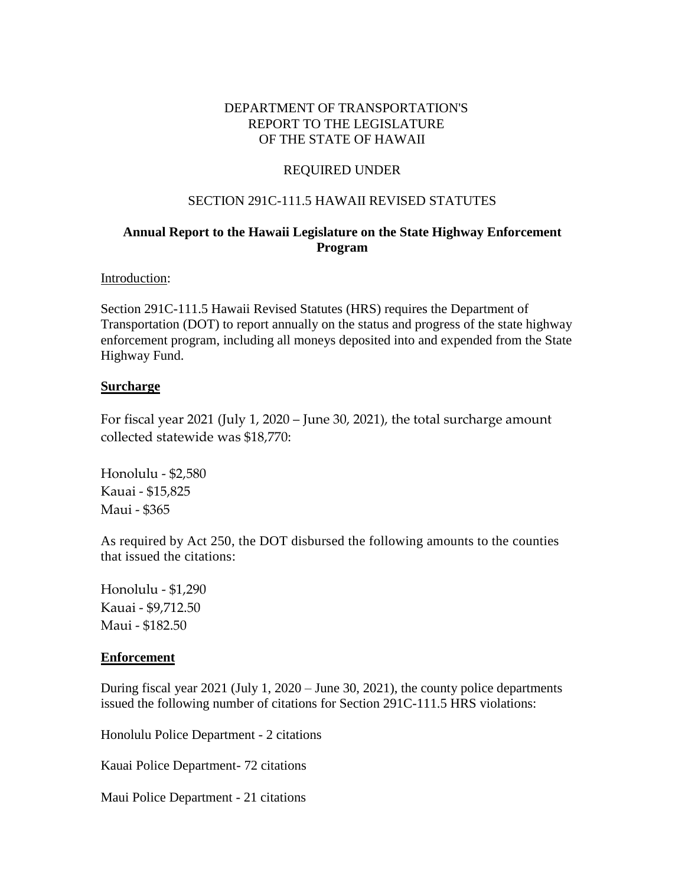## DEPARTMENT OF TRANSPORTATION'S REPORT TO THE LEGISLATURE OF THE STATE OF HAWAII

## REQUIRED UNDER

#### SECTION 291C-111.5 HAWAII REVISED STATUTES

## **Annual Report to the Hawaii Legislature on the State Highway Enforcement Program**

#### Introduction:

Section 291C-111.5 Hawaii Revised Statutes (HRS) requires the Department of Transportation (DOT) to report annually on the status and progress of the state highway enforcement program, including all moneys deposited into and expended from the State Highway Fund.

#### **Surcharge**

For fiscal year 2021 (July 1, 2020 – June 30, 2021), the total surcharge amount collected statewide was \$18,770:

Honolulu - \$2,580 Kauai - \$15,825 Maui - \$365

As required by Act 250, the DOT disbursed the following amounts to the counties that issued the citations:

Honolulu - \$1,290 Kauai - \$9,712.50 Maui - \$182.50

#### **Enforcement**

During fiscal year 2021 (July 1, 2020 – June 30, 2021), the county police departments issued the following number of citations for Section 291C-111.5 HRS violations:

Honolulu Police Department - 2 citations

Kauai Police Department- 72 citations

Maui Police Department - 21 citations